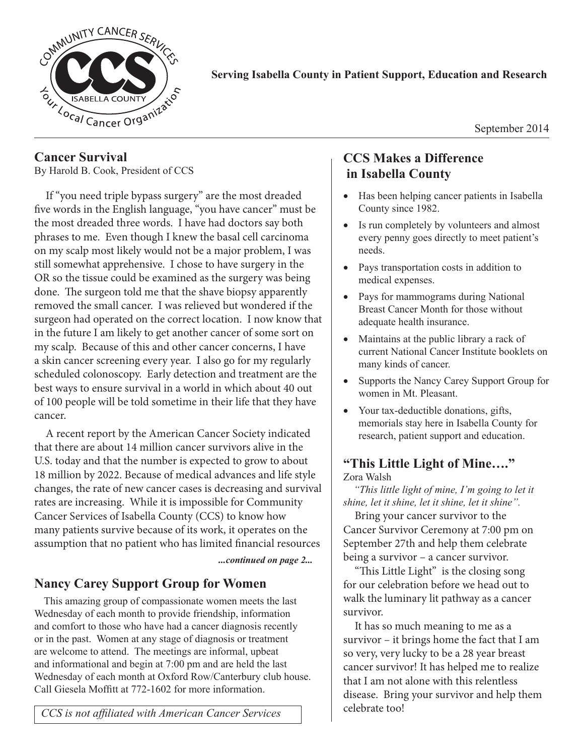

### **Serving Isabella County in Patient Support, Education and Research**

September 2014

## **Cancer Survival**

By Harold B. Cook, President of CCS

If "you need triple bypass surgery" are the most dreaded five words in the English language, "you have cancer" must be the most dreaded three words. I have had doctors say both phrases to me. Even though I knew the basal cell carcinoma on my scalp most likely would not be a major problem, I was still somewhat apprehensive. I chose to have surgery in the OR so the tissue could be examined as the surgery was being done. The surgeon told me that the shave biopsy apparently removed the small cancer. I was relieved but wondered if the surgeon had operated on the correct location. I now know that in the future I am likely to get another cancer of some sort on my scalp. Because of this and other cancer concerns, I have a skin cancer screening every year. I also go for my regularly scheduled colonoscopy. Early detection and treatment are the best ways to ensure survival in a world in which about 40 out of 100 people will be told sometime in their life that they have cancer.

A recent report by the American Cancer Society indicated that there are about 14 million cancer survivors alive in the U.S. today and that the number is expected to grow to about 18 million by 2022. Because of medical advances and life style changes, the rate of new cancer cases is decreasing and survival rates are increasing. While it is impossible for Community Cancer Services of Isabella County (CCS) to know how many patients survive because of its work, it operates on the assumption that no patient who has limited financial resources

*...continued on page 2...*

## **Nancy Carey Support Group for Women**

This amazing group of compassionate women meets the last Wednesday of each month to provide friendship, information and comfort to those who have had a cancer diagnosis recently or in the past. Women at any stage of diagnosis or treatment are welcome to attend. The meetings are informal, upbeat and informational and begin at 7:00 pm and are held the last Wednesday of each month at Oxford Row/Canterbury club house. Call Giesela Moffitt at 772-1602 for more information.

#### *CCS is not affiliated with American Cancer Services*

## **CCS Makes a Difference in Isabella County**

- Has been helping cancer patients in Isabella County since 1982.
- Is run completely by volunteers and almost every penny goes directly to meet patient's needs.
- Pays transportation costs in addition to medical expenses.
- Pays for mammograms during National Breast Cancer Month for those without adequate health insurance.
- Maintains at the public library a rack of current National Cancer Institute booklets on many kinds of cancer.
- Supports the Nancy Carey Support Group for women in Mt. Pleasant.
- Your tax-deductible donations, gifts, memorials stay here in Isabella County for research, patient support and education.

#### **"This Little Light of Mine…."** Zora Walsh

*"This little light of mine, I'm going to let it shine, let it shine, let it shine, let it shine".* 

Bring your cancer survivor to the Cancer Survivor Ceremony at 7:00 pm on September 27th and help them celebrate being a survivor – a cancer survivor.

"This Little Light" is the closing song for our celebration before we head out to walk the luminary lit pathway as a cancer survivor.

It has so much meaning to me as a survivor – it brings home the fact that I am so very, very lucky to be a 28 year breast cancer survivor! It has helped me to realize that I am not alone with this relentless disease. Bring your survivor and help them celebrate too!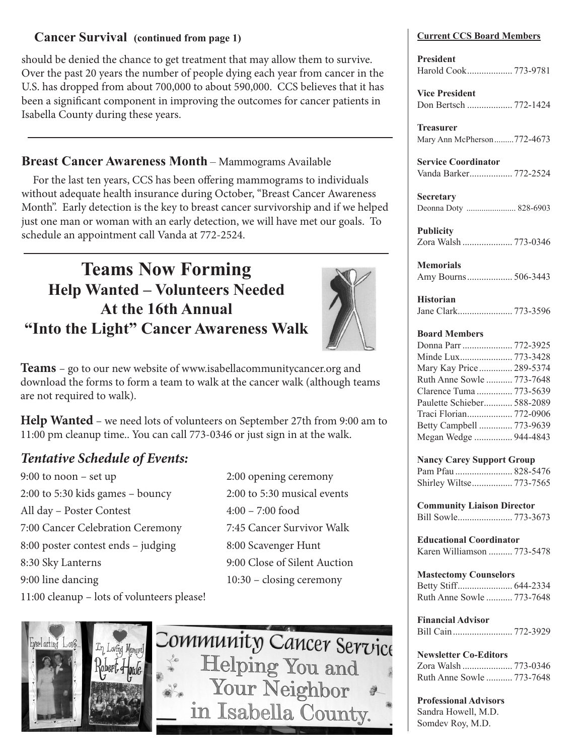### **Cancer Survival** (continued from page 1) Current CCS Board Members

should be denied the chance to get treatment that may allow them to survive. Over the past 20 years the number of people dying each year from cancer in the U.S. has dropped from about 700,000 to about 590,000. CCS believes that it has been a significant component in improving the outcomes for cancer patients in Isabella County during these years.

## **Breast Cancer Awareness Month** – Mammograms Available

For the last ten years, CCS has been offering mammograms to individuals without adequate health insurance during October, "Breast Cancer Awareness Month". Early detection is the key to breast cancer survivorship and if we helped just one man or woman with an early detection, we will have met our goals. To schedule an appointment call Vanda at 772-2524.

# **Teams Now Forming Help Wanted – Volunteers Needed At the 16th Annual "Into the Light" Cancer Awareness Walk**



**Teams** – go to our new website of www.isabellacommunitycancer.org and download the forms to form a team to walk at the cancer walk (although teams are not required to walk).

**Help Wanted** – we need lots of volunteers on September 27th from 9:00 am to 11:00 pm cleanup time.. You can call 773-0346 or just sign in at the walk.

## *Tentative Schedule of Events:*

9:00 to noon – set up 2:00 opening ceremony 2:00 to 5:30 kids games – bouncy 2:00 to 5:30 musical events All day – Poster Contest 4:00 – 7:00 food 7:00 Cancer Celebration Ceremony 7:45 Cancer Survivor Walk 8:00 poster contest ends – judging 8:00 Scavenger Hunt 8:30 Sky Lanterns 9:00 Close of Silent Auction 9:00 line dancing 10:30 – closing ceremony 11:00 cleanup – lots of volunteers please!



Community Cancer Service Helping You and Your Neighbor in Isabella County.

**President** Harold Cook................... 773-9781

**Vice President** Don Bertsch ................... 772-1424

**Treasurer** Mary Ann McPherson.........772-4673

**Service Coordinator** Vanda Barker.................. 772-2524

**Secretary** Deonna Doty ....................... 828-6903

**Publicity** Zora Walsh ..................... 773-0346

**Memorials** Amy Bourns................... 506-3443

**Historian** Jane Clark....................... 773-3596

#### **Board Members**

| Donna Parr  772-3925       |  |
|----------------------------|--|
|                            |  |
| Mary Kay Price 289-5374    |  |
| Ruth Anne Sowle  773-7648  |  |
| Clarence Tuma  773-5639    |  |
| Paulette Schieber 588-2089 |  |
|                            |  |
| Betty Campbell  773-9639   |  |
| Megan Wedge  944-4843      |  |

#### **Nancy Carey Support Group**

**Community Liaison Director** Bill Sowle....................... 773-3673

**Educational Coordinator** Karen Williamson .......... 773-5478

**Mastectomy Counselors** Betty Stiff....................... 644-2334 Ruth Anne Sowle ........... 773-7648

**Financial Advisor** Bill Cain......................... 772-3929

**Newsletter Co-Editors**

| Ruth Anne Sowle  773-7648 |  |
|---------------------------|--|

**Professional Advisors**

Sandra Howell, M.D. Somdev Roy, M.D.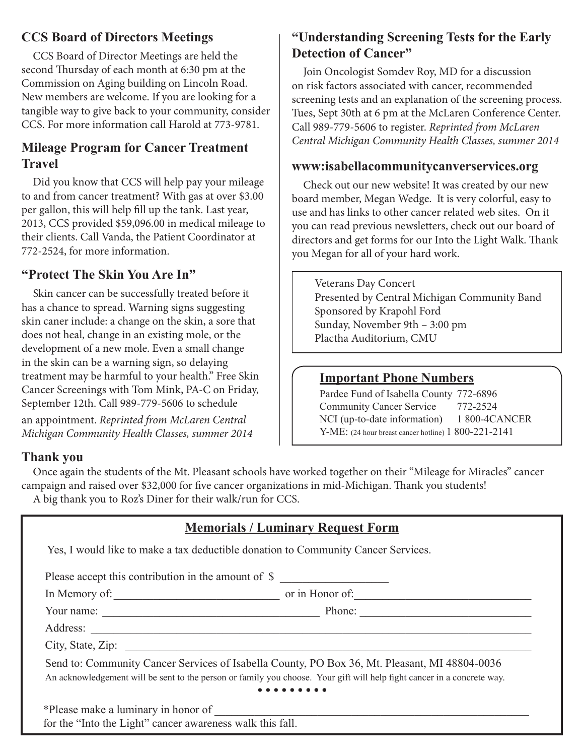## **CCS Board of Directors Meetings**

CCS Board of Director Meetings are held the second Thursday of each month at 6:30 pm at the Commission on Aging building on Lincoln Road. New members are welcome. If you are looking for a tangible way to give back to your community, consider CCS. For more information call Harold at 773-9781.

## **Mileage Program for Cancer Treatment Travel**

Did you know that CCS will help pay your mileage to and from cancer treatment? With gas at over \$3.00 per gallon, this will help fill up the tank. Last year, 2013, CCS provided \$59,096.00 in medical mileage to their clients. Call Vanda, the Patient Coordinator at 772-2524, for more information.

## **"Protect The Skin You Are In"**

Skin cancer can be successfully treated before it has a chance to spread. Warning signs suggesting skin caner include: a change on the skin, a sore that does not heal, change in an existing mole, or the development of a new mole. Even a small change in the skin can be a warning sign, so delaying treatment may be harmful to your health." Free Skin Cancer Screenings with Tom Mink, PA-C on Friday, September 12th. Call 989-779-5606 to schedule an appointment. *Reprinted from McLaren Central Michigan Community Health Classes, summer 2014*

## **Thank you**

## **"Understanding Screening Tests for the Early Detection of Cancer"**

Join Oncologist Somdev Roy, MD for a discussion on risk factors associated with cancer, recommended screening tests and an explanation of the screening process. Tues, Sept 30th at 6 pm at the McLaren Conference Center. Call 989-779-5606 to register. *Reprinted from McLaren Central Michigan Community Health Classes, summer 2014*

## **www:isabellacommunitycanverservices.org**

Check out our new website! It was created by our new board member, Megan Wedge. It is very colorful, easy to use and has links to other cancer related web sites. On it you can read previous newsletters, check out our board of directors and get forms for our Into the Light Walk. Thank you Megan for all of your hard work.

Veterans Day Concert Presented by Central Michigan Community Band Sponsored by Krapohl Ford Sunday, November 9th – 3:00 pm Plactha Auditorium, CMU

## **Important Phone Numbers**

Pardee Fund of Isabella County 772-6896 Community Cancer Service 772-2524 NCI (up-to-date information) 1 800-4CANCER Y-ME: (24 hour breast cancer hotline) 1 800-221-2141

Once again the students of the Mt. Pleasant schools have worked together on their "Mileage for Miracles" cancer campaign and raised over \$32,000 for five cancer organizations in mid-Michigan. Thank you students! A big thank you to Roz's Diner for their walk/run for CCS.

| <b>Memorials / Luminary Request Form</b>                                                                                                                                                                                 |  |  |
|--------------------------------------------------------------------------------------------------------------------------------------------------------------------------------------------------------------------------|--|--|
| Yes, I would like to make a tax deductible donation to Community Cancer Services.                                                                                                                                        |  |  |
| Please accept this contribution in the amount of \$                                                                                                                                                                      |  |  |
|                                                                                                                                                                                                                          |  |  |
|                                                                                                                                                                                                                          |  |  |
|                                                                                                                                                                                                                          |  |  |
|                                                                                                                                                                                                                          |  |  |
| Send to: Community Cancer Services of Isabella County, PO Box 36, Mt. Pleasant, MI 48804-0036<br>An acknowledgement will be sent to the person or family you choose. Your gift will help fight cancer in a concrete way. |  |  |
| for the "Into the Light" cancer awareness walk this fall.                                                                                                                                                                |  |  |